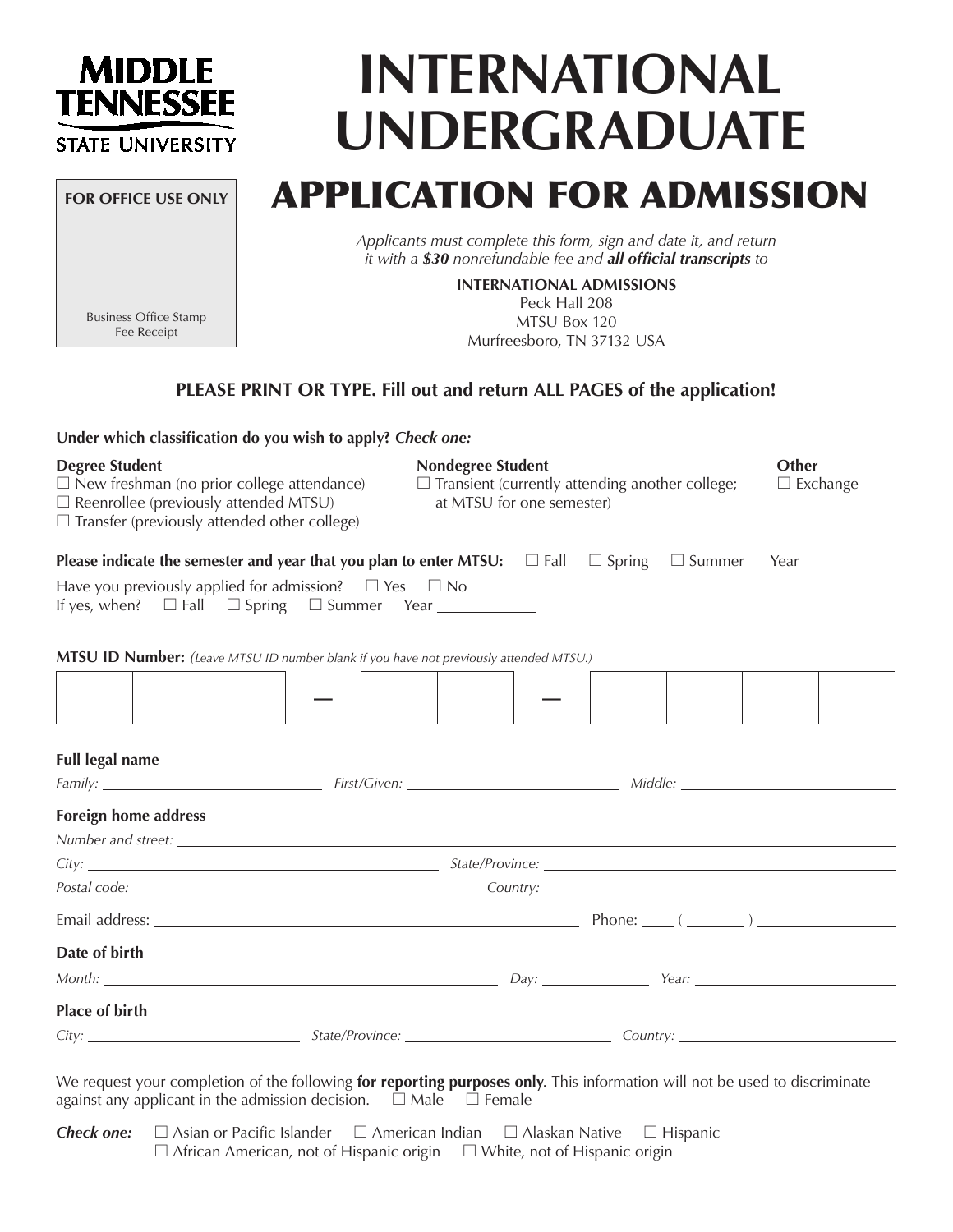### **MIDDLE TENNESSEE STATE UNIVERSITY**

**FOR OFFICE USE ONLY**

# **INTERNATIONAL UNDERGRADUATE**

## APPLICATION FOR ADMISSION

*Applicants must complete this form, sign and date it, and return it with a \$30 nonrefundable fee and all official transcripts to*

> MTSU Box 120 Murfreesboro, TN 37132 USA

**INTERNATIONAL ADMISSIONS** Peck Hall 208

Business Office Stamp Fee Receipt

#### **PLEASE PRINT OR TYPE. Fill out and return ALL PAGES of the application!**

| Under which classification do you wish to apply? Check one:                                                                                                                                                                    |                          |                                                                                     |                          |
|--------------------------------------------------------------------------------------------------------------------------------------------------------------------------------------------------------------------------------|--------------------------|-------------------------------------------------------------------------------------|--------------------------|
| <b>Degree Student</b><br>$\Box$ New freshman (no prior college attendance)<br>$\square$ Reenrollee (previously attended MTSU)<br>$\Box$ Transfer (previously attended other college)                                           | <b>Nondegree Student</b> | $\Box$ Transient (currently attending another college;<br>at MTSU for one semester) | Other<br>$\Box$ Exchange |
|                                                                                                                                                                                                                                |                          |                                                                                     |                          |
| Have you previously applied for admission? $\square$ Yes $\square$ No                                                                                                                                                          |                          |                                                                                     |                          |
| MTSU ID Number: (Leave MTSU ID number blank if you have not previously attended MTSU.)                                                                                                                                         |                          |                                                                                     |                          |
|                                                                                                                                                                                                                                |                          |                                                                                     |                          |
| <b>Full legal name</b>                                                                                                                                                                                                         |                          |                                                                                     |                          |
|                                                                                                                                                                                                                                |                          |                                                                                     |                          |
| <b>Foreign home address</b>                                                                                                                                                                                                    |                          |                                                                                     |                          |
|                                                                                                                                                                                                                                |                          |                                                                                     |                          |
|                                                                                                                                                                                                                                |                          |                                                                                     |                          |
|                                                                                                                                                                                                                                |                          |                                                                                     |                          |
| Date of birth                                                                                                                                                                                                                  |                          |                                                                                     |                          |
| Month: New Year: New York: New Year: New York: New York: New York: New York: New York: New York: New York: New York: New York: New York: New York: New York: New York: New York: New York: New York: New York: New York: New Y |                          |                                                                                     |                          |
| <b>Place of birth</b>                                                                                                                                                                                                          |                          |                                                                                     |                          |
| City: Curry: Country: Country: Country: Country: Country: Country: Country: Country: Country: Country: Country: Country: Country: Country: Country: Country: Country: Country: Country: Country: Country: Country: Country: Co |                          |                                                                                     |                          |
|                                                                                                                                                                                                                                |                          |                                                                                     |                          |

We request your completion of the following **for reporting purposes only**. This information will not be used to discriminate against any applicant in the admission decision.  $\Box$  Male  $\Box$  Female

**Check one:** □ Asian or Pacific Islander □ American Indian □ Alaskan Native □ Hispanic  $\Box$  African American, not of Hispanic origin  $\Box$  White, not of Hispanic origin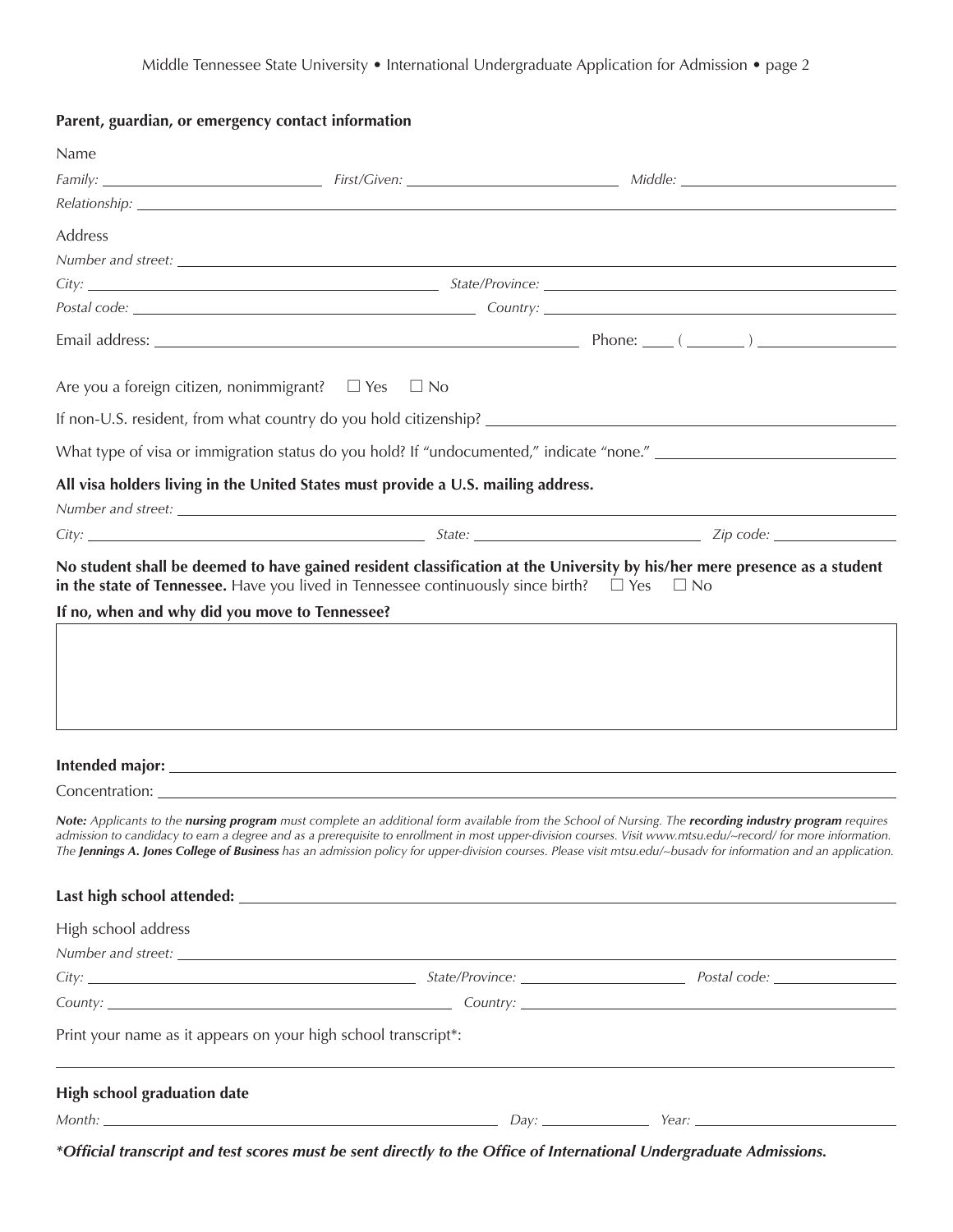#### **Parent, guardian, or emergency contact information**

| Name                               |                                                                                   |                                                                                                                                                                                                                                                                                                                                                                                                                                                                                                   |
|------------------------------------|-----------------------------------------------------------------------------------|---------------------------------------------------------------------------------------------------------------------------------------------------------------------------------------------------------------------------------------------------------------------------------------------------------------------------------------------------------------------------------------------------------------------------------------------------------------------------------------------------|
|                                    |                                                                                   |                                                                                                                                                                                                                                                                                                                                                                                                                                                                                                   |
|                                    |                                                                                   |                                                                                                                                                                                                                                                                                                                                                                                                                                                                                                   |
| Address                            |                                                                                   |                                                                                                                                                                                                                                                                                                                                                                                                                                                                                                   |
|                                    |                                                                                   |                                                                                                                                                                                                                                                                                                                                                                                                                                                                                                   |
|                                    |                                                                                   |                                                                                                                                                                                                                                                                                                                                                                                                                                                                                                   |
|                                    |                                                                                   |                                                                                                                                                                                                                                                                                                                                                                                                                                                                                                   |
|                                    |                                                                                   |                                                                                                                                                                                                                                                                                                                                                                                                                                                                                                   |
|                                    | Are you a foreign citizen, nonimmigrant? $\Box$ Yes $\Box$ No                     |                                                                                                                                                                                                                                                                                                                                                                                                                                                                                                   |
|                                    |                                                                                   |                                                                                                                                                                                                                                                                                                                                                                                                                                                                                                   |
|                                    |                                                                                   |                                                                                                                                                                                                                                                                                                                                                                                                                                                                                                   |
|                                    | All visa holders living in the United States must provide a U.S. mailing address. |                                                                                                                                                                                                                                                                                                                                                                                                                                                                                                   |
|                                    |                                                                                   |                                                                                                                                                                                                                                                                                                                                                                                                                                                                                                   |
|                                    |                                                                                   |                                                                                                                                                                                                                                                                                                                                                                                                                                                                                                   |
|                                    |                                                                                   |                                                                                                                                                                                                                                                                                                                                                                                                                                                                                                   |
|                                    |                                                                                   |                                                                                                                                                                                                                                                                                                                                                                                                                                                                                                   |
|                                    |                                                                                   |                                                                                                                                                                                                                                                                                                                                                                                                                                                                                                   |
|                                    |                                                                                   | Note: Applicants to the nursing program must complete an additional form available from the School of Nursing. The recording industry program requires<br>admission to candidacy to earn a degree and as a prerequisite to enrollment in most upper-division courses. Visit www.mtsu.edu/~record/ for more information.<br>The <b>Jennings A. Jones College of Business</b> has an admission policy for upper-division courses. Please visit mtsu.edu/~busady for information and an application. |
|                                    |                                                                                   |                                                                                                                                                                                                                                                                                                                                                                                                                                                                                                   |
| High school address                |                                                                                   |                                                                                                                                                                                                                                                                                                                                                                                                                                                                                                   |
|                                    |                                                                                   |                                                                                                                                                                                                                                                                                                                                                                                                                                                                                                   |
|                                    |                                                                                   | City: <u>Cubernal Communication of the State/Province:</u> City: 2008. Postal code: <u>Cubernal Communication</u> Postal code:                                                                                                                                                                                                                                                                                                                                                                    |
|                                    |                                                                                   |                                                                                                                                                                                                                                                                                                                                                                                                                                                                                                   |
|                                    | Print your name as it appears on your high school transcript*:                    |                                                                                                                                                                                                                                                                                                                                                                                                                                                                                                   |
| <b>High school graduation date</b> |                                                                                   |                                                                                                                                                                                                                                                                                                                                                                                                                                                                                                   |
|                                    |                                                                                   |                                                                                                                                                                                                                                                                                                                                                                                                                                                                                                   |
|                                    |                                                                                   |                                                                                                                                                                                                                                                                                                                                                                                                                                                                                                   |

*\*Official transcript and test scores must be sent directly to the Office of International Undergraduate Admissions.*